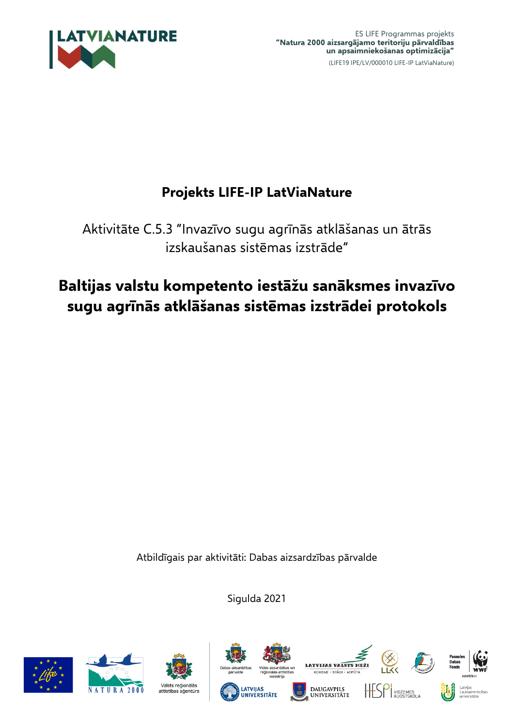

## **Projekts LIFE-IP LatViaNature**

Aktivitāte C.5.3 "Invazīvo sugu agrīnās atklāšanas un ātrās izskaušanas sistēmas izstrāde"

# **Baltijas valstu kompetento iestāžu sanāksmes invazīvo sugu agrīnās atklāšanas sistēmas izstrādei protokols**

Atbildīgais par aktivitāti: Dabas aizsardzības pārvalde

Sigulda 2021









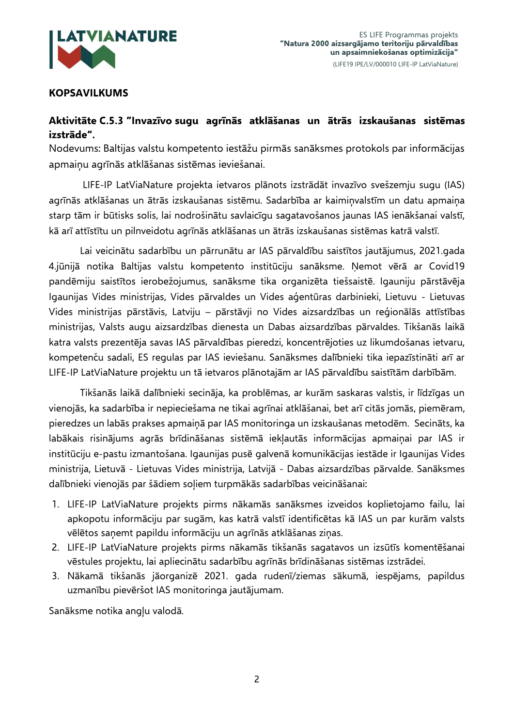

## **KOPSAVILKUMS**

## **Aktivitāte C.5.3 "Invazīvo sugu agrīnās atklāšanas un ātrās izskaušanas sistēmas izstrāde".**

Nodevums: Baltijas valstu kompetento iestāžu pirmās sanāksmes protokols par informācijas apmaiņu agrīnās atklāšanas sistēmas ieviešanai.

LIFE-IP LatViaNature projekta ietvaros plānots izstrādāt invazīvo svešzemju sugu (IAS) agrīnās atklāšanas un ātrās izskaušanas sistēmu. Sadarbība ar kaimiņvalstīm un datu apmaiņa starp tām ir būtisks solis, lai nodrošinātu savlaicīgu sagatavošanos jaunas IAS ienākšanai valstī, kā arī attīstītu un pilnveidotu agrīnās atklāšanas un ātrās izskaušanas sistēmas katrā valstī.

Lai veicinātu sadarbību un pārrunātu ar IAS pārvaldību saistītos jautājumus, 2021.gada 4.jūnijā notika Baltijas valstu kompetento institūciju sanāksme. Ņemot vērā ar Covid19 pandēmiju saistītos ierobežojumus, sanāksme tika organizēta tiešsaistē. Igauniju pārstāvēja Igaunijas Vides ministrijas, Vides pārvaldes un Vides aģentūras darbinieki, Lietuvu - Lietuvas Vides ministrijas pārstāvis, Latviju – pārstāvji no Vides aizsardzības un reģionālās attīstības ministrijas, Valsts augu aizsardzības dienesta un Dabas aizsardzības pārvaldes. Tikšanās laikā katra valsts prezentēja savas IAS pārvaldības pieredzi, koncentrējoties uz likumdošanas ietvaru, kompetenču sadali, ES regulas par IAS ieviešanu. Sanāksmes dalībnieki tika iepazīstināti arī ar LIFE-IP LatViaNature projektu un tā ietvaros plānotajām ar IAS pārvaldību saistītām darbībām.

Tikšanās laikā dalībnieki secināja, ka problēmas, ar kurām saskaras valstis, ir līdzīgas un vienojās, ka sadarbība ir nepieciešama ne tikai agrīnai atklāšanai, bet arī citās jomās, piemēram, pieredzes un labās prakses apmaiņā par IAS monitoringa un izskaušanas metodēm. Secināts, ka labākais risinājums agrās brīdināšanas sistēmā iekļautās informācijas apmaiņai par IAS ir institūciju e-pastu izmantošana. Igaunijas pusē galvenā komunikācijas iestāde ir Igaunijas Vides ministrija, Lietuvā - Lietuvas Vides ministrija, Latvijā - Dabas aizsardzības pārvalde. Sanāksmes dalībnieki vienojās par šādiem soļiem turpmākās sadarbības veicināšanai:

- 1. LIFE-IP LatViaNature projekts pirms nākamās sanāksmes izveidos koplietojamo failu, lai apkopotu informāciju par sugām, kas katrā valstī identificētas kā IAS un par kurām valsts vēlētos saņemt papildu informāciju un agrīnās atklāšanas ziņas.
- 2. LIFE-IP LatViaNature projekts pirms nākamās tikšanās sagatavos un izsūtīs komentēšanai vēstules projektu, lai apliecinātu sadarbību agrīnās brīdināšanas sistēmas izstrādei.
- 3. Nākamā tikšanās jāorganizē 2021. gada rudenī/ziemas sākumā, iespējams, papildus uzmanību pievēršot IAS monitoringa jautājumam.

Sanāksme notika angļu valodā.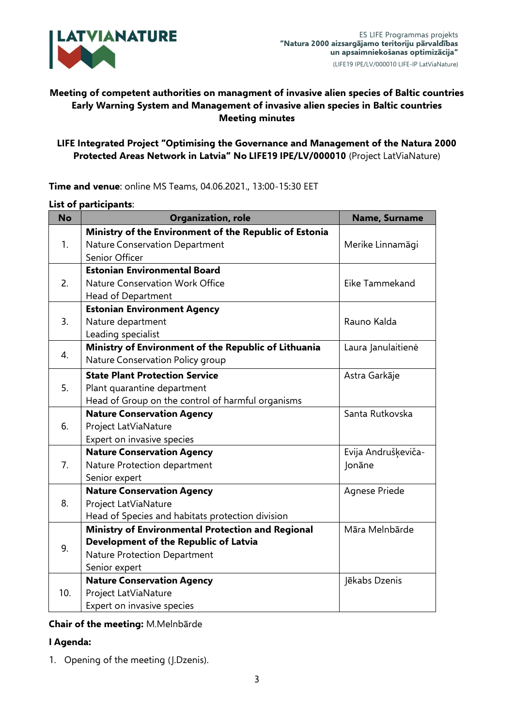

## **Meeting of competent authorities on managment of invasive alien species of Baltic countries Early Warning System and Management of invasive alien species in Baltic countries Meeting minutes**

### **LIFE Integrated Project "Optimising the Governance and Management of the Natura 2000 Protected Areas Network in Latvia" No LIFE19 IPE/LV/000010** (Project LatViaNature)

| <b>No</b> | Organization, role                                     | Name, Surname       |
|-----------|--------------------------------------------------------|---------------------|
| 1.        | Ministry of the Environment of the Republic of Estonia |                     |
|           | Nature Conservation Department                         | Merike Linnamägi    |
|           | Senior Officer                                         |                     |
| 2.        | <b>Estonian Environmental Board</b>                    |                     |
|           | Nature Conservation Work Office                        | Eike Tammekand      |
|           | Head of Department                                     |                     |
| 3.        | <b>Estonian Environment Agency</b>                     |                     |
|           | Nature department                                      | Rauno Kalda         |
|           | Leading specialist                                     |                     |
| 4.        | Ministry of Environment of the Republic of Lithuania   | Laura Janulaitienė  |
|           | Nature Conservation Policy group                       |                     |
| 5.        | <b>State Plant Protection Service</b>                  | Astra Garkāje       |
|           | Plant quarantine department                            |                     |
|           | Head of Group on the control of harmful organisms      |                     |
| 6.        | <b>Nature Conservation Agency</b>                      | Santa Rutkovska     |
|           | Project LatViaNature                                   |                     |
|           | Expert on invasive species                             |                     |
| 7.        | <b>Nature Conservation Agency</b>                      | Evija Andrušķeviča- |
|           | Nature Protection department                           | Jonāne              |
|           | Senior expert                                          |                     |
| 8.        | <b>Nature Conservation Agency</b>                      | Agnese Priede       |
|           | Project LatViaNature                                   |                     |
|           | Head of Species and habitats protection division       |                     |
| 9.        | Ministry of Environmental Protection and Regional      | Māra Melnbārde      |
|           | Development of the Republic of Latvia                  |                     |
|           | Nature Protection Department                           |                     |
|           | Senior expert                                          |                     |
| 10.       | <b>Nature Conservation Agency</b>                      | Jēkabs Dzenis       |
|           | Project LatViaNature                                   |                     |
|           | Expert on invasive species                             |                     |

**Time and venue**: online MS Teams, 04.06.2021., 13:00-15:30 EET

#### **List of participants**:

#### **Chair of the meeting:** M.Melnbārde

#### **I Agenda:**

1. Opening of the meeting (J.Dzenis).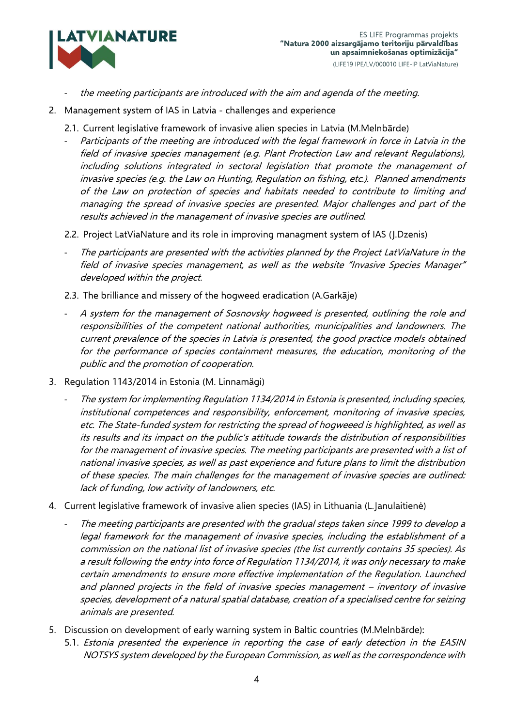

- the meeting participants are introduced with the aim and agenda of the meeting.
- 2. Management system of IAS in Latvia challenges and experience
	- 2.1. Current legislative framework of invasive alien species in Latvia (M.Melnbārde)
	- Participants of the meeting are introduced with the legal framework in force in Latvia in the field of invasive species management (e.g. Plant Protection Law and relevant Regulations), including solutions integrated in sectoral legislation that promote the management of invasive species (e.g. the Law on Hunting, Regulation on fishing, etc.). Planned amendments of the Law on protection of species and habitats needed to contribute to limiting and managing the spread of invasive species are presented. Major challenges and part of the results achieved in the management of invasive species are outlined.
	- 2.2. Project LatViaNature and its role in improving managment system of IAS (J.Dzenis)
	- The participants are presented with the activities planned by the Project LatViaNature in the field of invasive species management, as well as the website "Invasive Species Manager" developed within the project.
	- 2.3. The brilliance and missery of the hogweed eradication (A.Garkāje)
	- A system for the management of Sosnovsky hogweed is presented, outlining the role and responsibilities of the competent national authorities, municipalities and landowners. The current prevalence of the species in Latvia is presented, the good practice models obtained for the performance of species containment measures, the education, monitoring of the public and the promotion of cooperation.
- 3. Regulation 1143/2014 in Estonia (M. Linnamägi)
	- The system for implementing Regulation 1134/2014 in Estonia is presented, including species, institutional competences and responsibility, enforcement, monitoring of invasive species, etc. The State-funded system for restricting the spread of hogweeed is highlighted, as well as its results and its impact on the public's attitude towards the distribution of responsibilities for the management of invasive species. The meeting participants are presented with a list of national invasive species, as well as past experience and future plans to limit the distribution of these species. The main challenges for the management of invasive species are outlined: lack of funding, low activity of landowners, etc.
- 4. Current legislative framework of invasive alien species (IAS) in Lithuania (L.Janulaitienė)
	- The meeting participants are presented with the gradual steps taken since 1999 to develop a legal framework for the management of invasive species, including the establishment of a commission on the national list of invasive species (the list currently contains 35 species). As a result following the entry into force of Regulation 1134/2014, it was only necessary to make certain amendments to ensure more effective implementation of the Regulation. Launched and planned projects in the field of invasive species management – inventory of invasive species, development of a natural spatial database, creation of a specialised centre for seizing animals are presented.
- 5. Discussion on development of early warning system in Baltic countries (M.Melnbārde):
	- 5.1. Estonia presented the experience in reporting the case of early detection in the EASIN NOTSYS system developed by the European Commission, as well as the correspondence with